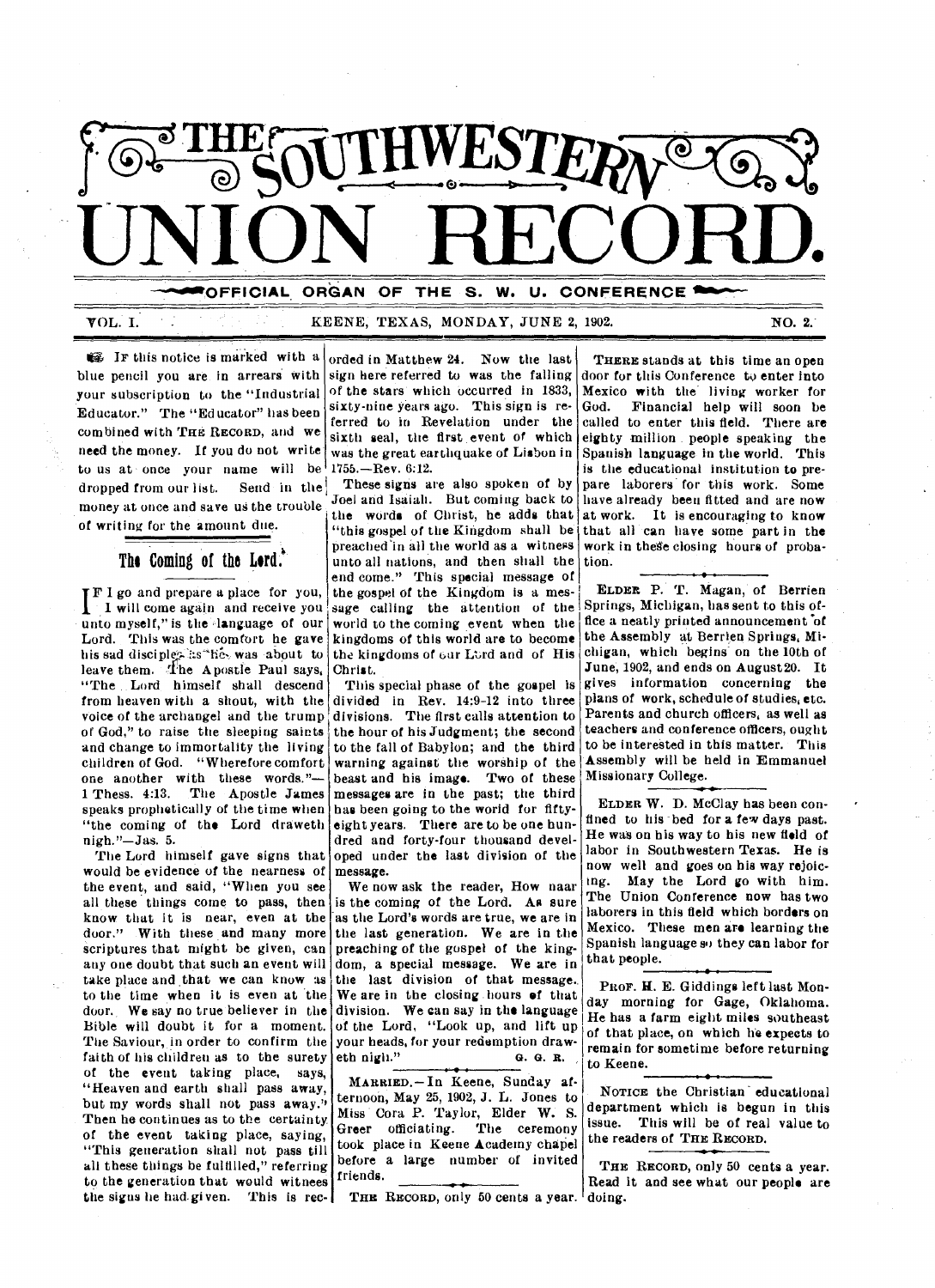

VOL. I. THE REENE, TEXAS, MONDAY, JUNE 2, 1902. NO. 2.

 $\mathbb{C}$  IF this notice is marked with a blue pencil you are in arrears with sign here referred to was the falling your subscription to the "Industrial Educator." The "Ed ucator" has been combined with THE RECORD, and we need the money. If you do not write to us at once your name will be  $1755$ . -Rev. 6:12. dropped from our list. Send in the money at once and save us the trouble of writing for the amount due.

**The Coming of the Lord.** 

**TF I** go and prepare a place for you, I I will come again and receive you unto myself," is the language of our Lord. This was the comfort he gave his sad disciples as he, was about to leave them. The Apostle Paul says, "The Lord himself shall descend from heaven with a shout, with the voice of the archangel and the trump of God," to raise the sleeping saints and change to immortality the living children of God. "Wherefore comfort one another with these words."-1 Thess. 4:13. The Apostle James speaks prophetically of the time when "the coming of the Lord draweth nigh."—Jas. 5.

The Lord himself gave signs that would be evidence of the nearness of the event, and said, "When you see all these things come to pass, then know that it is near, even at the door." With these and many more scriptures that might be given, can any one doubt that such an event will take place and that we can know as to the time when it is even at the door. We say no true believer in the Bible will doubt it for a moment. The Saviour, in order to confirm the faith of his children as to the surety of the event taking place, says, "Heaven and earth shall pass away, but my words shall not pass away." Then he continues as to the certainty. of the event taking place, saying, "This generation shall not pass till all these things be fulfilled," referring to the generation that would witnees the signs he had-given. This is rec-

orded in Matthew 24. Now the last of the stars which occurred in 1833, sixty-nine years ago. This sign is referred to in Revelation under the sixth seal, the first event of which was the great earthquake of Lisbon in

These signs are also spoken of by Joel and Isaiah. But coming back to the words of Christ, he adds that "this gospel of the Kingdom shall be preached in all the world as a witness unto all nations, and then shall the end come." This special message of the gospel of the Kingdom is a message calling the attention of the world to the coming event when the kingdoms of this world are to become the kingdoms of our Lord and of His Christ.

This special phase of the gospel is divided in Rev. 14:9-12 into three divisions. The first calls attention to the hour of his Judgment; the second to the fall of Babylon; and the third warning against the worship of the beast and his image. Two of these messages are in the past; the third has been going to the world for fiftyeight years. There are to be one hundred and forty-four thousand developed under the last division of the message.

We now ask the reader, How naar is the coming of the Lord. As sure as the Lord's words are true, we are in the last generation. We are in the preaching of the gospel of the kingdom, a special message. We are in the last division of that message.. We are in the closing hours of that division. We can say in the language of the Lord, "Look up, and lift up your heads, for your redemption draweth nigh." O. G. R.

MARRIED, —In Keene, Sunday af-Miss Cora P. Taylor, Elder W. S. Greer officiating. The ceremony took place in Keene Academy chapel before a large number of invited before a large number of invited THE RECORD, only 50 cents a year.<br>friends.

THE RECORD, only 50 cents a year. doing.

THERE stands at this time an open door for this Conference to enter into Mexico with the living worker for<br>God. Financial help will soon be Financial help will soon be called to enter this field. There are eighty million people speaking the Spanish language in the world. This is the educational institution to prepare laborers for this work. Some have already been fitted and are now at work. It is encouraging to know that all can have some part in the work in these closing hours of probation.

ELDER P. T. Magan, of Berrien Springs, Michigan, has sent to this office a neatly printed announcement of the Assembly at Berrien Springs, Michigan, which begins on the 10th of June, 1902, and ends on August 20. It gives information concerning the plans of work, schedule of studies, etc. Parents and church officers, as well as teachers and conference officers, ought to be interested in this matter. This Assembly will be held in Emmanuel Missionary College.

ELDER W. D. McClay has been confined to his bed for a few days past. He was on his way to his new field of labor in Southwestern Texas. He is now well and *goes* on his way rejoicing. May the Lord go with him. The Union Conference now has two laborers in this field which borders on Mexico. These men are learning the Spanish language so they can labor for that people.

PROF. H. E. Giddings left last Monday morning for Gage, Oklahoma. He has a farm eight miles southeast of that place, on which he expects to remain for sometime before returning to Keene.

department which is begun in this issue. This will be of real value to the readers of THE RECORD. ternoon, May 25, 1902, J. L. Jones to  $\sim$  NOTICE the Christian educational

Read it and see what our people are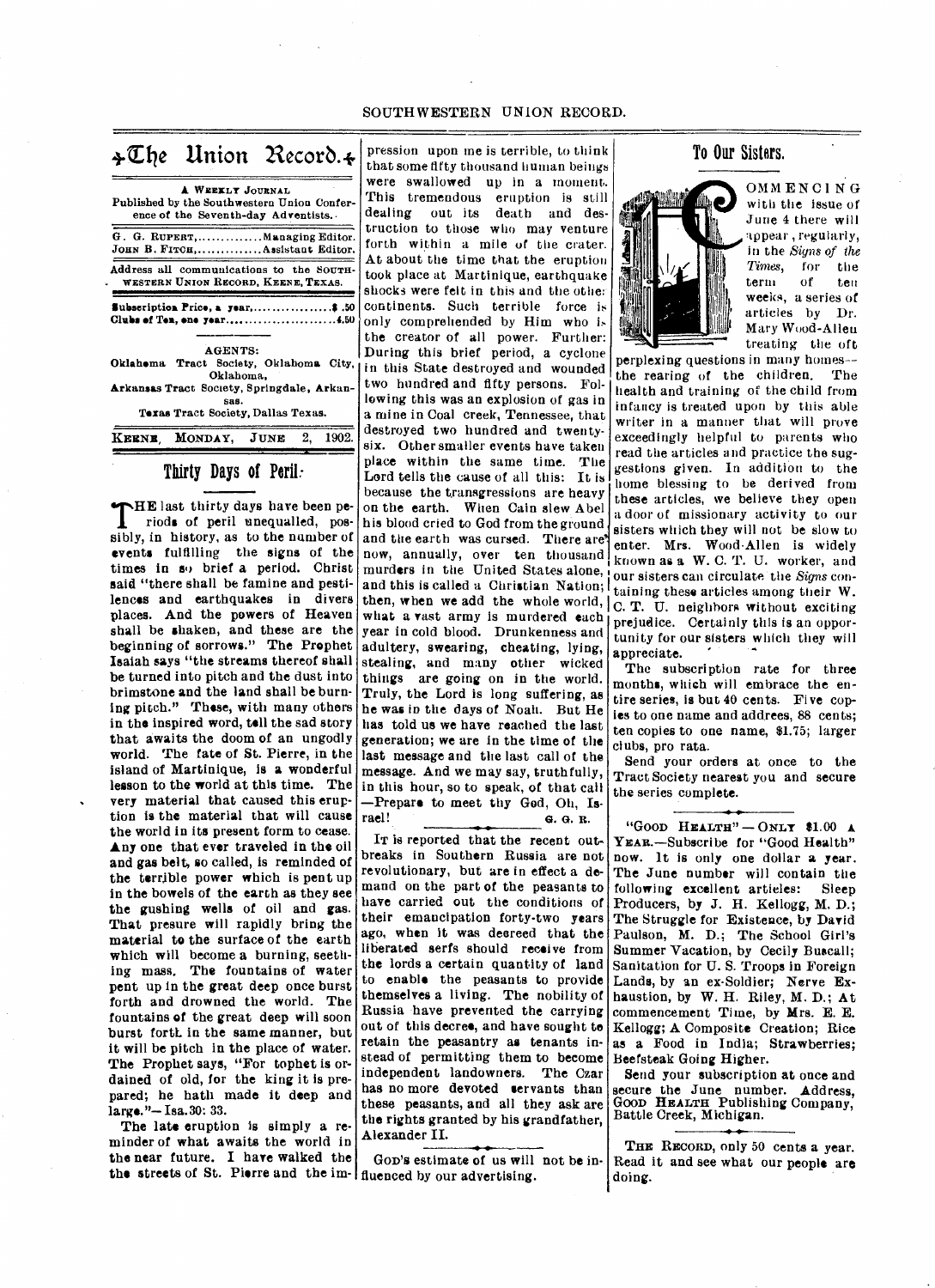| $\frac{1}{2}\mathbb{Z}$ he Union Record. $\frac{1}{2}$            |                                                         |  |          | $\frac{1}{t}$    |
|-------------------------------------------------------------------|---------------------------------------------------------|--|----------|------------------|
| Published by the Southwestern Union Confer-                       | A WEEKLY JOURNAL<br>ence of the Seventh-day Adventists. |  |          | ÿ<br>ŋ<br>d      |
| G. G. RUPERT, Managing Editor.<br>JOHN B. FITCH,Assistant Editor. |                                                         |  |          | t<br>f           |
| Address all communications to the SOUTH-                          | WESTERN UNION RECORD, KEENE, TEXAS.                     |  |          | Ł<br>t<br>8      |
| Subscription Price, a year,\$ .50<br>Clubs of Ten, one year4.50   |                                                         |  |          | C<br>$\mathbf 0$ |
|                                                                   | AGENTS:                                                 |  |          | t<br>Т           |
| Oklahema Tract Society, Oklahoma City,<br>Oklahoma,               |                                                         |  |          |                  |
| Arkansas Tract Society, Springdale, Arkan-                        |                                                         |  |          | t                |
|                                                                   | SAS.<br>Texas Tract Society, Dallas Texas.              |  |          | k<br>a           |
| KEENE MONDAY, JUNE                                                |                                                         |  | 2, 1902. | d<br>S.          |

# Thirty Days of Peril:

**THE** last thirty days have been periods of peril unequalled, pos-HE last thirty days have been pesibly, in history, as to the number of events fulfilling the signs of the times in so brief a period. Christ said "there shall be famine and pestilences and earthquakes in divers places. And the powers of Heaven shall be shaken, and these are the beginning of sorrows." The Prophet Isaiah says "the streams thereof shall be turned into pitch and the dust into brimstone and the land shall be burning pitch." These, with many others in the inspired word, tell the sad story that awaits the doom of an ungodly world. The fate of St. Pierre, in the island of Martinique, is a wonderful lesson to the world at this time. The very material that caused this eruption is the material that will cause the world in its present form to cease. Any one that ever traveled in the oil and gas belt, so called, is reminded of the terrible power which is pent up in the bowels of the earth as they see the gushing wells of oil and gas. That presure will rapidly bring the material to the surface of the earth which will become a burning, seething mass, The fountains of water pent up in the great deep once burst forth and drowned the world. The fountains of the great deep will soon burst forth in the same manner, but it will be pitch in the place of water. The Prophet says, "For tophet is ordained of old, for the king it is prepared; he hath made it deep and large."—Isa.30: 33.

The late eruption is simply a reminder of what awaits the world in the near future. I have walked the the streets of St. Pierre and the im-fluenced by our advertising.

pression upon me is terrible, to think hat some fifty thousand human beings were swallowed up in a moment. This tremendous eruption is still dealing out its death and destruction to those who may venture orth within a mile of the crater. At about the time that the eruption ook place at Martinique, earthquake shocks were felt in this and the other continents. Such terrible force is only comprehended by Him who is he creator of all power. Further: During this brief period, a cyclone in this State destroyed and wounded wo hundred and fifty persons. Folowing this was an explosion of gas in mine in Coal creek, Tennessee, that estroyed two hundred and twentysix. Other smaller events have taken place within the same time. The Lord tells the cause of all this: It is because the transgressions are heavy on the earth. When Cain slew Abel his blood cried to God from the ground and the earth was cursed. There are' now, annually, over ten thousand murders in the United States alone, and this is called a Christian Nation; then, when we add the whole world,  $\overline{C}$ . T. U. neighbors without exciting what a vast army is murdered each year in cold blood. Drunkenness and adultery, swearing, cheating, *lying,*  stealing, and many other wicked things are going on in the world. Truly, the Lord is long suffering, as he was in the days of Noah. But He has told us we have reached the last generation; we are in the time of the last message and the last call of the message. And we may say, truthfully, in this hour, so to speak, of that call —Prepare to meet thy God, Oh, Is-<br>rael!  $\qquad 6.6.8$ . rael! G. G. R.

IT is reported that the recent outbreaks in Southern Russia are not revolutionary, but are in effect a demand on the part of the peasants to have carried out the conditions of their emancipation forty-two years ago, when it was decreed that the liberated serfs should receive from the lords a certain quantity of land to enable the peasants to provide themselves a living. The nobility of Russia have prevented the carrying out of this decree, and have sought to retain the peasantry as tenants instead of permitting them to become independent landowners. The Czar has no more devoted servants than these peasants, and all they ask are the rights granted by his grandfather, Alexander II.

GoD's estimate of us will not be in-

# To Oar Sisters.



OMMENCING with the issue of June 4 there will appear , regularly, in the *Signs of the Times,* for the term of weeks, a series of articles by Dr. Mary Wood-Allen treating the oft

perplexing questions in many homes- the rearing of the children. The health and training of the child from infancy is treated upon by this able writer in a manner that will prove exceedingly helpful to parents who read the articles and practice the suggestions given. In addition to the home blessing to be derived from these articles, we believe they open a door of missionary activity to our sisters which they will not be slow to enter. Mrs. Wood-Allen is widely known as a W. C. T. U. worker, and our sisters can circulate the *Signs* containing these articles among their W. prejudice. Certainly this is an opportunity for our sisters which they will appreciate.

The subscription rate for three months, which will embrace the entire series, is but 40 cents. Five copies to one name and addrees, 88 cents; ten copies to one name, \$1.75; larger clubs, pro rata.

Send your orders at once to the Tract Society nearest you and secure the series complete.

"GOOD HEALTH"  $-$  ONLY \$1.00 A YEAR.-Subscribe for "Good Health" now. It is only one dollar a year. The June number will contain the following excellent articles: Sleep Producers, by J. H. Kellogg, M. D.; The Struggle for Existeuce, by David Paulson, M. D.; The School Girl's Summer Vacation, by Cecily Buscall; Sanitation for U. S. Troops in Foreign Lands, by an ex-Soldier; Nerve Exhaustion, by W. H. Riley, M. D.; At commencement Time, by Mrs. E. E. Kellogg; A Composite Creation; Rice as a Food in India; Strawberries; Beefsteak Going Higher.

Send your subscription at once and secure the June number. Address, Good HEALTH Publishing Company,<br>Battle Creek, Michigan.

THE RECORD, only 50 cents a year. Read it and see what our people are doing.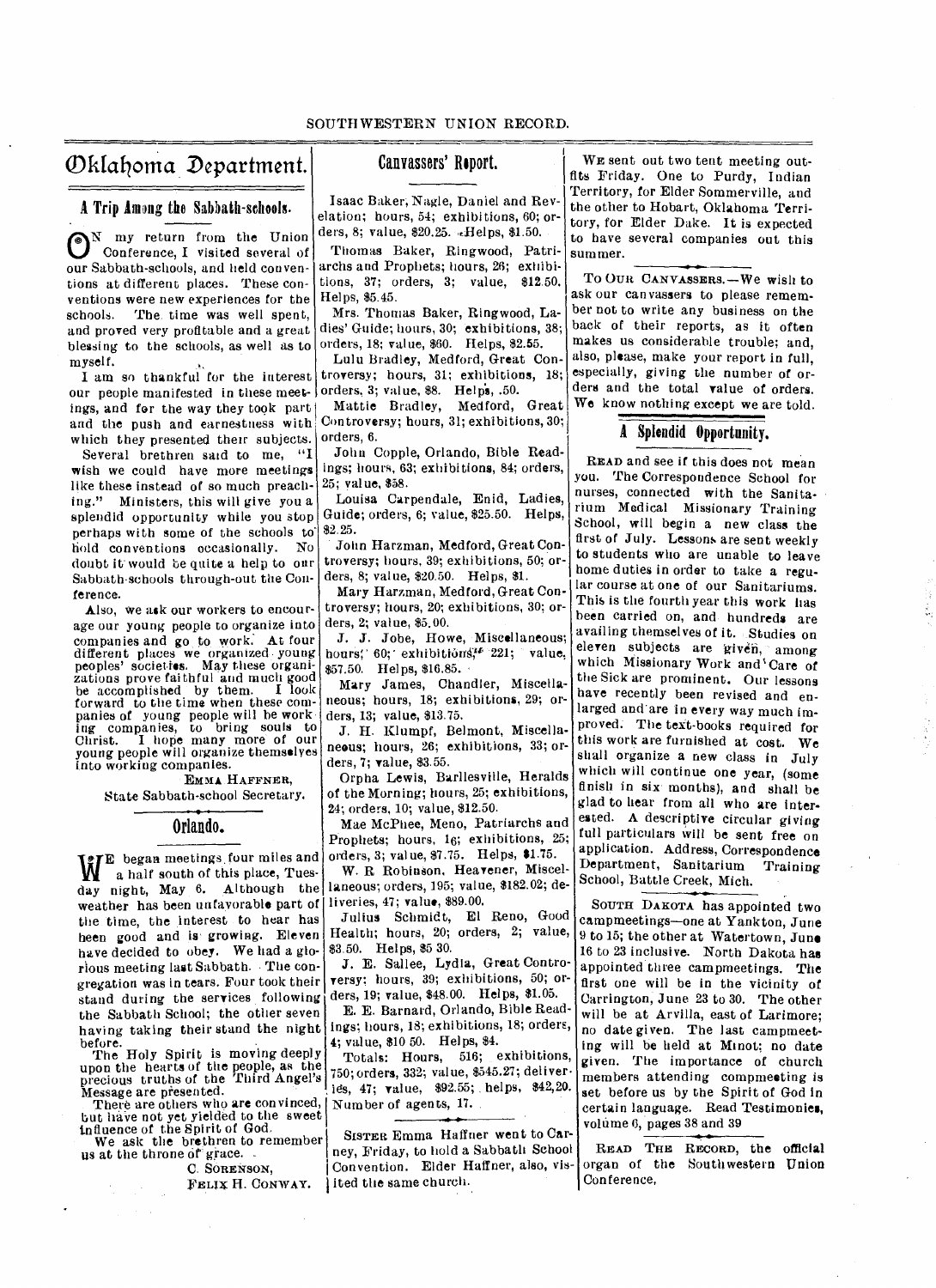# Ofifafloma Department.

A Trip hang the Sabbath-schools.

<sup>N</sup> my return from the Union<br>Conference, I visited several of Conference, I visited several of our Sabbath-schools, and held conventions at different places. These conventions were new experiences for the schools. The time was well spent, and proved very profitable and a great blessing to the schools, as well as to myself.

I am so thankful for the interest our people manifested in these meet- orders, 3; value, \$8. Helps, .50. ings, and for the way they took part and the push and earnestness with which they presented their subjects.

Several brethren said to me, "I wish we could have more meetings like these instead of so much preaching." Ministers, this will give you a splendid opportunity while you stop perhaps with some of the schools to hold conventions occasionally. No doubt it' would be quite a help to our Sabbath•schools through-out the Conference.

Also, we ask our workers to encourage our young people to organize into companies and go to work. At four different places we organized young peoples' societies. May these organizations prove faithful and much good be accomplished by them. I look forward to the time when these companies of young people will be working companies, to bring souls to Christ. I hope many more of our young people will organize themselves into working companies.

#### EMMA HAFFNER,

State Sabbath-school Secretary.

# Orlando.

weather has been unfavorable part of liveries, 47; value, \$89.00. WE began meetings four miles and<br>a half south of this place, Tuesa half south of this place, Tuesday night, May 6. Although the the time, the interest to hear has heen good and is growing. Eleven have decided to obey. We had a glorious meeting last Sabbath. • The congregation was in tears. Four took their stand during the services following the Sabbath School; the other seven having taking their stand the night

before. The Holy Spirit is moving deeply upon the hearts of the people, as the precious truths of the Third Angel's Message are presented.

There are others who are convinced, but haVe not yet yielded to the sweet influence of the Spirit of God.

We ask the brethren to remember us at the throne of grace.

C. SORENSON,

FELIX H. CONWAY.

# Canvassers' Report.

Isaac Baker; Nagle, Daniel and Revelation; hours, 54; exhibitions, 60; orders, 8; value, \$20.25. ...Helps, \$1.50.

Thomas Baker, Ringwood, Patriarchs and Prophets; hours, 26; exhibitions, 37; orders, 3; value, \$12.50. Helps, \$5.45.

Mrs. Thomas Baker, Ringwood, Ladies' Guide; hours, 30; exhibitions, 38; orders, 18; value, \$60. Helps, \$2.55.

Lulu Bradley, Medford, Great Controversy; hours, 31; exhibitions, 18;

Mattie Bradley, Medford, Great Controversy; hours, 31; exhibitions, 30; orders, 6.

John Copple, Orlando, Bible Readings; hours, 63; exhibitions, 84; orders, 25; value, \$58.

Louisa Carpendale, Enid, Ladies, Guide; orders, 6; value, \$25.50. Helps, \$2.25.

John Harzman, Medford, Great Controversy; hours, 39; exhibitions, 50; orders, 8; value, \$20.50. Helps, \$1.

Mary Harzman, Medford, Great Controversy; hours, 20; exhibitions, 30; orders, 2; value, \$5.00.

J. J. Jobe, Howe, Miscellaneous; hours; 60; exhibitions,<sup>14</sup> 221; value, \$57.50. Helps, \$16.85.

Mary James, Chandler, Miscellaneous; hours, 18; exhibitions, 29; orders, 13; value, \$13.75.

J. H. Klumpf, Belmont, Miscellaneous; hours, 26; exhibitions, 33; orders, 7; value, \$3.55.

Orpha Lewis, Barllesville, Heralds of the Morning; hours, 25; exhibitions, 24; orders, 10; value, \$12.50.

Mae McPhee, Meno, Patriarchs and Prophets; hours, 16; exhibitions, 25; orders, 3; value, \$7.75. Helps, \$1.75.

W. R Robinson, Heavener, Miscellaneous; orders, 195; value, \$182.02; de-

Julius Schmidt, El Reno, Good Health; hours, 20; orders, 2; value, \$3.50. Helps, \$5 30.

J. E. Sallee, Lydia, Great Controversy; hours, 39; exhibitions, 50; orders, 19; value, \$48.00. Helps, \$1.05.

E. E. Barnard, Orlando, Bible Readings; hours, 18; exhibitions, 18; orders, 4; value, \$10 50. Helps, \$4.

Totals: Hours, 516; exhibitions, 750; orders, 332; value, \$545.27; deliver ies, 47; value, \$92.55; helps, \$42,20. , Number of agents, 17.

SISTER. Emma Haffner went to Carney, Friday, to hold a Sabbath School Convention. Elder Haffner, also, visited the same church.

WE sent out two tent meeting outfits Friday. One to Purdy, Indian Territory, for Elder Sommerville, and the other to Hobart, Oklahoma Territory, for Elder Dake. It is expected to have several companies out this summer.

To OUR CANVASSERS.—We wish to ask our canvassers to please remember not to write any business on the back of their reports, as it often makes us considerable trouble; and, also, please, make your report in full, especially, giving the number of orders and the total value of orders. We know nothing except we are told.

## A Splendid Opportunity.

READ and see if this does not mean you. The Correspondence School for nurses, connected with the Sanitarium Medical Missionary Training School, will begin a new class the first of July. Lessons are sent weekly to students who are unable to leave home duties in order to take a regular course at one of our Sanitariums. This is the fourth year this work has been carried on, and hundreds are availing themselves of it. Studies on eleven subjects are given, among which Missionary Work and'Care of the Sick are prominent. Our lessons have recently been revised and enlarged and are in every way much improved. The teat-books required for this work are furnished at cost. We shall organize a new class in July which will continue one year, (some finish in six months), and shall be glad to hear from all who are interested. A descriptive circular giving full particulars will be sent free on application. Address, Correspondence Department, Sanitarium Training School, Battle Creek, Mich.

SOUTH DAKOTA has appointed two campmeetings—one at Yankton, June 9 to 15; the other at Watertown, June 16 to 23 inclusive. North Dakota has appointed three campmeetings. The first one will be in the vicinity of Carrington, June 23 to 30. The other will be at Arvilla, east of Larimore; no date given. The last campmeeting will be held at Minot; no date given. The importance of church members attending compmeeting is set before us by the Spirit of God in certain language. Read Testimonies, volume 6, pages 38 and 39

READ THE RECORD, the official organ of the Southwestern Union Con ference,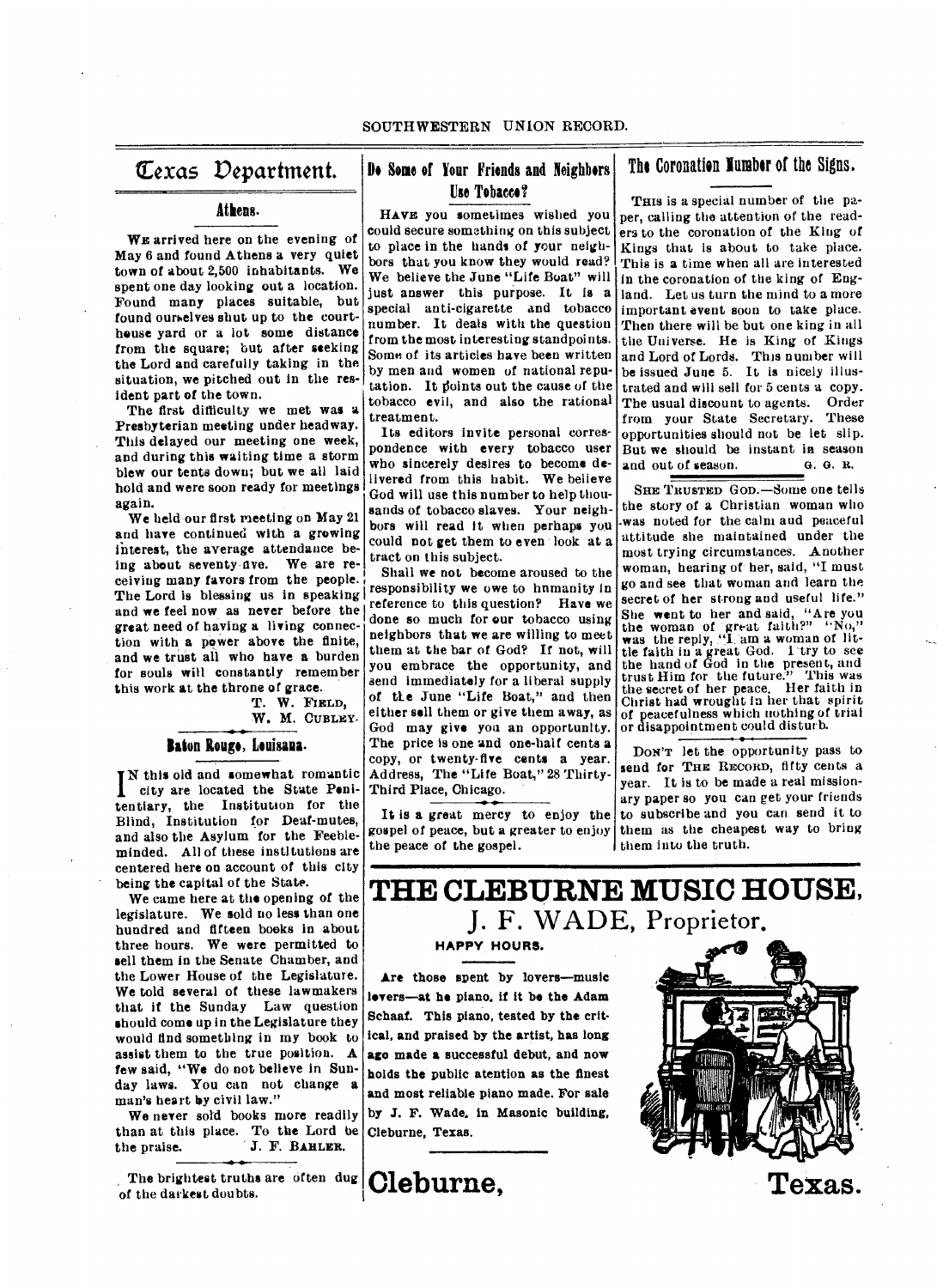# **exas Department.**

## **Athens.**

WE arrived here on the evening of May 6 and found Athens a very quiet town of about 2,500 inhabitants. We spent one day looking out a location. Found many places suitable, but found ourselves shut up to the courthouse yard or a lot some distance from the square; but after seeking the Lord and carefully taking in the situation, we pitched out in the resident part of the town.

The first difficulty we met was a Presbyterian meeting under headway. This delayed our meeting one week, and during this waiting time a storm blew our tents down; but we all laid hold and were soon ready for meetings again.

We held our first meeting on May 21 and have continued with a growing interest, the average attendance being about seventy ave. We are receiving many favors from the people. The Lord is blessing us in speaking and we feel now as never before the great need of having a living connection with **a** power above the finite, and we trust all who have **a** burden for souls will constantly remember this work at the throne of grace.

T. W. **FIELD, W. M. CURLEY.** 

#### Baton Rouge, Louisana.

**TN** this old and somewhat romantic city are located the State Penitentiary, the Institution for the Blind, Institution for Deaf-mutes, and also the Asylum for the Feebleminded. All of these institutions are centered here on account of this city being the capital of the State.

We came here at the opening of the legislature. We sold no less than one hundred and fifteen books in about three hours. We were permitted to sell them in the Senate Chamber, and the Lower House of the Legislature. We told several of these lawmakers that if the Sunday Law question should come up in the Legislature they would find something in my book to assist them to the true position. A few said, "We do not believe in Sunday laws. You can not change a man's heart by civil law."

We never sold books more readily than at this place. To the Lord be<br>the praise. J. F. BAHLER. J. F. BAHLER.

The brightest truths are often dug of the darkest doubts.

# **Do Some of Your Friends and Neighbors Use Tobacco?**

**HAVE** you sometimes wished you could secure something on this subject to place in the hands of your neighbors that you know they would read? We believe the June "Life Boat" will just answer this purpose. It is a special anti-cigarette and tobacco number. It deals with the question from the most interesting standpoints. Some of its articles have been written by men and women of national reputation. It foints out the cause of the tobacco evil, and also the rational treatment.

Its editors invite personal correspondence with every tobacco user who sincerely desires to become delivered from this habit. We believe God will use this number to help thousands of tobacco slaves. Your neighbors will read it when perhaps you could not get them to even look at a tract on this subject.

Shall we not become aroused to the responsibility we owe to hnmanity in reference to this question? Have we done so much for our tobacco using neighbors that we are willing to meet them at the bar of God? If not, will you embrace the opportunity, and send immediately for a liberal supply of the June "Life Boat," and then either **sell** them or give them away, as God may give you an opportunity. The price is one and one-half cents a copy, or twenty-five cents a year. Address, The "Life Boat," 28 Thirty-Third Place, Chicago.

It is a great mercy to enjoy the gospel of peace, but a greater to enjoy the peace of the gospel.

**The Coronation limber of the Signs.** 

THIS is a special number of the paper, calling the attention of the readers to the coronation of the King of Kings that is about to take place. This is a time when all are interested in the coronation of the king of England. Let us turn the mind to a more important event soon to take place. Then there will be but one king in all the Universe. He is King of Kings and Lord of Lords. This number will be issued June 5. It is nicely illustrated and will sell for 5 cents a copy. The usual discount to agents. Order from your State Secretary. These opportunities should not be let slip. But we should be instant in season<br>and out of season.  $\qquad 6.6.8$ . and out of season.

**SHE TRUSTED** GOD.—Some one tells the story of a Christian woman who -was noted for the calm and peaceful attitude she maintained under the most trying circumstances. Another woman, hearing of her, said, "I must go and see that woman and learn the secret of her strong and useful life." She went to her and said, "Are you the woman of great faith?" "No," was the reply, "I am a woman of little faith in a great God. I-try to see the hand of God in the present, and trust Him for the future." This was the secret of her peace. Her faith in Christ had wrought in her that spirit of peacefulness which nothing of trial or disappointment could disturb.

**DON'T** let the opportunity pass to send for **THE RECORD**, fifty cents a year. It is to be made a real missionary paper so you can get your friends to subscribe and you can send it to them as the cheapest way to bring I them into the truth.

# **THE CLEBURNE MUSIC HOUSE, J. F. WADE,** Proprietor,

**HAPPY HOURS.** 

**Are those spent by lovers—music levers—at he piano, if it be the Adam Schaaf. This piano, tested by the** critical, and praised by the artist, has long **ago made a** successful debut, and now holds **the** public atention as the finest **and most reliable** piano made. For sale by **.1. F. Wade, in Masonic building, Cleburne, Texas.** 

**Cleburne,** 



**Texas.**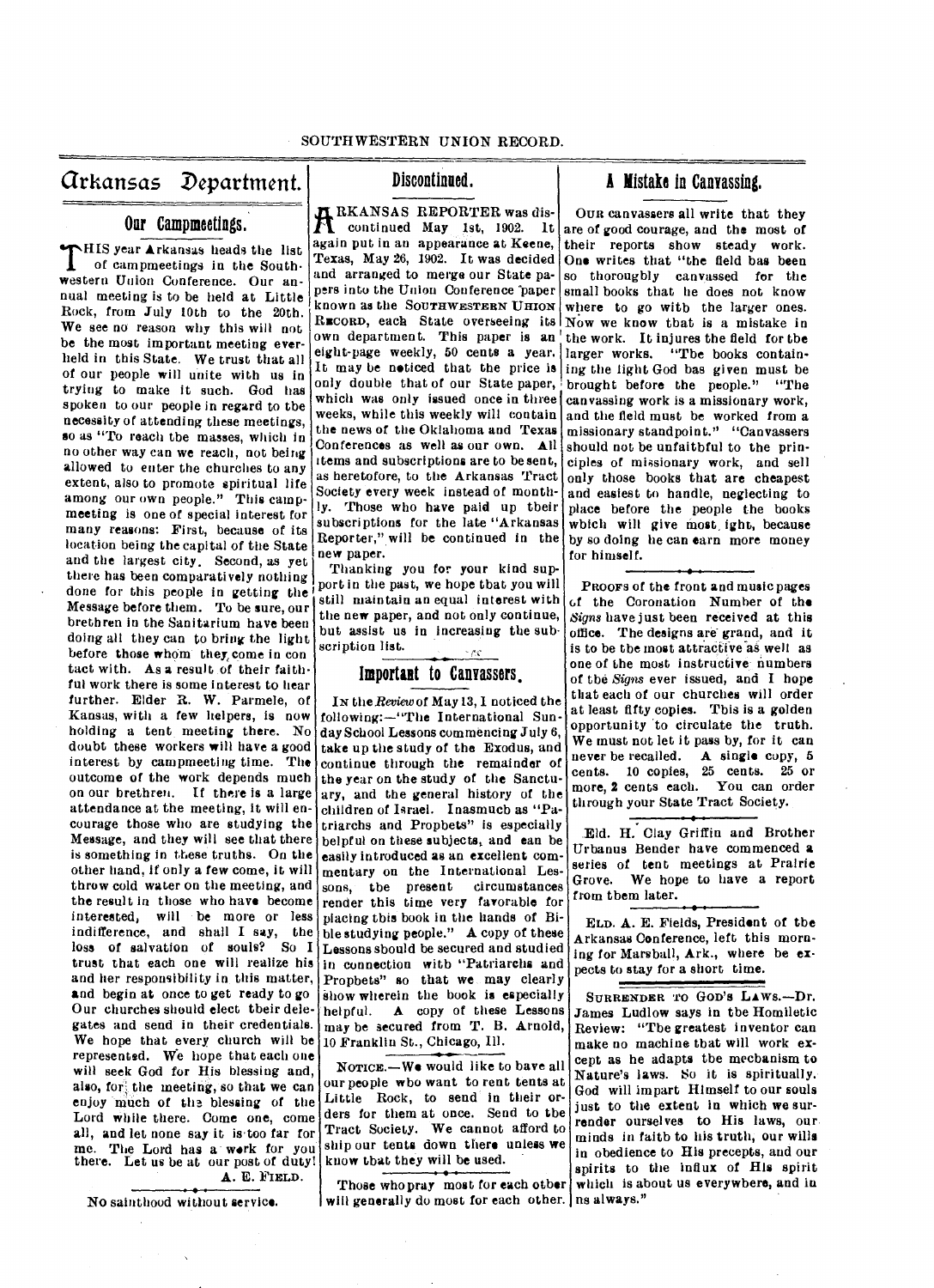arkansas Department. Discontinued. **A** Mistake in Canvassing.

# **Oar Campmeetings.**

**THIS year Arkansas heads the list** of campmeetings in the South**of campmeetings in the Southwestern Union Conference. Our annual meeting is to be held at Little Rock, from** *July* **10th to the 20th. We see no reason why this will not be the most important meeting** *ever***held in this State. We trust that all of our people will unite with us in trying to make it such. God has spoken to our people in regard to the necessity of attending these meetings, so as "To reach the masses, which in no other way can we reach, not being allowed to enter the churches to any extent, also to promote spiritual life among our own people." This campmeeting is one of special interest for many reasons: First, because of its location being the capital of the State and the largest city, Second, as yet there has been comparatively nothing done for this people in getting the Message before them. To be sure, our brethren in the Sanitarium have been doing all they can to bring the light before those whom they, come in con tact with. As a result of their faithful work there is some interest to hear further. Elder R. W. Parmele, of Kansas, with a few helpers, is now holding a tent meeting there. No doubt these workers will have a good interest by camprneeting time. The outcome of the work depends much on our brethren. If there is a large attendance at the meeting, it will encourage those who are studying the Message, and they will see that there is something in these truths. On the other hand, if only a few come, it will throw cold water on the meeting, and the result in those who have become interested, will be more or less indifference, and shall I say, the loss of salvation of souls? So I trust that each one will realize his and her responsibility in this matter, and begin at once to get ready to go Our churches should elect their delegates and send in their credentials. We hope that every church will be represented. We hope that each one will seek God for His blessing and,**  also, for the meeting, so that we can **enjoy much of the blessing of the Lord while there. Come one, come all, and let none say it istoo far for me. The Lord has a work for you there. Let us be at our post of duty!** 

**A. E. FIELD.** 

**No sainthood without service.** 

**RKANSAS REPORTER was discontinued May 1st, 1902. It again put in an appearance at Keene, Texas, May 26, 1902. It was decided and arranged to merge our State papers into the Union Conference paper known as the SOUTHWESTERN Umorr RECORD, each State overseeing its Now we know that is a mistake in own department. This paper is an eight-page weekly, 50 cents a year. It may be noticed that the price is only double that of our State paper, which was only issued once in three weeks, while this weekly will contain the news of the Oklahoma and Texas Conferences as well as our own. All items and subscriptions are to be sent, as heretofore, to the Arkansas Tract Society every week instead of monthly. Those who** *have* **paid up their subscriptions for the late "Arkansas Reporter," will be continued in the new paper.** 

**Thanking you for your kind support in the past, we hope that you will still maintain an equal interest with the new paper, and not only continue, but assist us in increasing the subscription list.**  •

# **Important to Canvassers.**

**Ix** *the Review* **of May 13, I noticed the following:—"The International Sunday School Lessons commencing July 6, take up the study of the Exodus, and continue through the remainder of the year on the study of the Sanctuary, and the general history of the children of Israel. Inasmuch as "Patriarchs and Prophets" is especially helpful on these subjects, and can be easily introduced as an excellent commentary on the International Les**sons, the present **render this time very favorable for placing this book in the hands of Bible studying people." A copy of these Lessons should be secured and studied in connection with "Patriarchs and Prophets" so that we may clearly show wherein the book is especially helpful. A copy of these Lessons may be secured from T. B. Arnold, 10 Franklin St., Chicago, Ill.** 

**NOTICE.—We would like to have all our people who want to rent tents at**  Little Rock, to send in their or**ders for them at once. Send to the Tract Society. We cannot afford to ship our tents down there unless we know that they will be used.** 

**will generally do most for each other. ns always."** 

**OUR canvassers all write that they are of good courage, and the most of their reports show steady work. One writes that "the field has been so thoroughly canvassed for the small books that he does not know where to go with the larger ones. the work. It injures the field for the**  larger works. "The books contain**ing the light God has given must be brought before the people." "The canvassing work is a missionary work, and the field must be worked from a missionary standpoint." "Canvassers should not be unfaithful to the principles of missionary work, and sell only those books that are cheapest and easiest to handle, neglecting to place before the people the books which will** *give* **most, ight, because by so doing he can earn more money for himself.** 

**PROOFS of the front and music pages t,f the Coronation Number of the**  *Signs* **have just been received at this office. The designs are grand, and it is to be the most attractive aswell as one of the most instructive numbers of the** *Signs* **ever issued, and I hope that each of our churches will order at least fifty copies. This is a golden opportunity to circulate the truth. We must not let it pass by, for it can never be recalled. A single copy, 5 cents. 10 copies, 25 cents. 25 or more, 2 cents each. You can order through your State Tract Society.** 

**Eld. H. Clay Griffin and Brother Urbanus Bender have commenced a series of tent meetings at Prairie Grove. We hope to have a report from them later.** 

**ELD. A. E. Fields, President of the Arkansas Conference, left this morn**ing for Marsball, Ark., where be ex**pects to stay for a short time.** 

**Those who pray most for each other which is about us everywhere, and in**  SURRENDER TO GOD'S LAWS.-Dr. **James Ludlow says in the Homiletic Review: "The greatest inventor can make no machine that will work except as he adapts the mechanism to Nature's laws. So it is spiritually. God will impart Himself to our souls just to the extent in which we surrender ourselves to His laws, our minds in faith to his truth, our wills in obedience to His precepts, and our spirits to the influx of His spirit**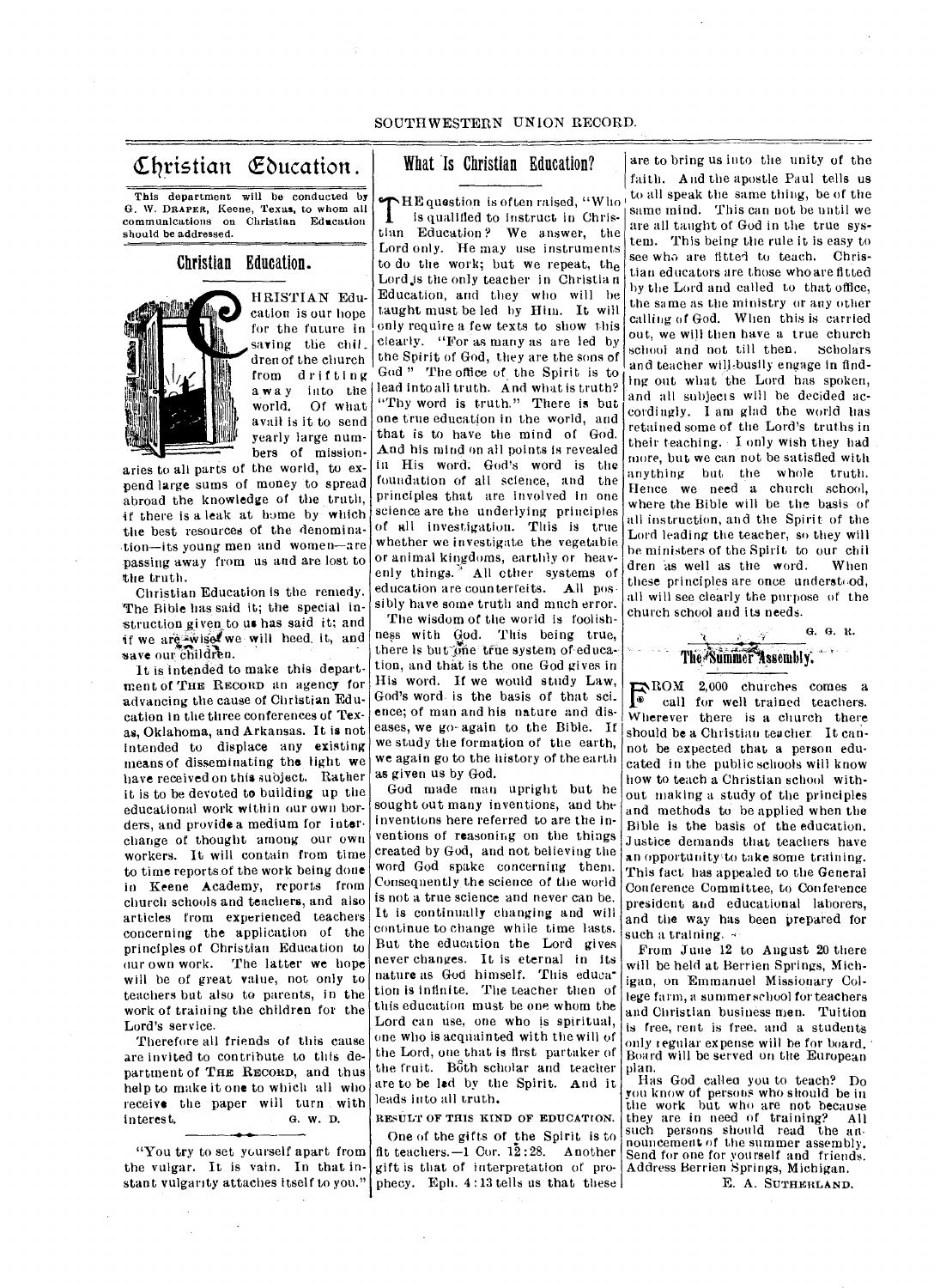# Christian Education.

This department will be conducted by G. W. DRAPER, Keene, Texas, to whom all communications on Christian Education should be addressed.

# Christian Education.



HRISTIAN Education is our hope for the future in saving the chil. dren of the church from drifting world. Of what<br>avail is it to send yearly large numbers of mission-

aries to all parts of the world, to expend large sums of money to spread abroad the knowledge of the truth, if there is a leak at home by which the best resources of the denomina- .tion—its young men and women—are passing away from us and are lost to the truth.

Christian Education is the remedy. The Bible has said it; the special instruction given to us has said it; and if we are wise we will heed, it, and save our children.

It is intended to make this department of THE RECORD an agency for advancing the cause of Christian Education in the three conferences of Texas, Oklahoma, and Arkansas. It is not intended to displace any existing means of disseminating the light we have received on this subject. Rather it is to be devoted to building up the educational work within our own borders, and provide a medium for interchange of thought among our own workers. It will contain from time to time reports of the work being done in Keene Academy, reports from church schools and teachers, and also articles from experienced teachers concerning the application of the principles of Christian Education to our own work. The latter we hope will be of great value, not only to teachers but also to parents, in the work of training the children for the Lord's service.

Therefore all friends of this cause are invited to contribute to this department of THE RECORD, and thus help to make it one to which all who receive the paper will turn with interest. G. W. D.

"You try to set yourself apart from the vulgar. It is vain. In that in-

# What Is Christian Education?

away into the lead into all truth. And what is truth?<br>world. Of what "Thy word is truth." There is but THE question is often raised, "Who"<br>is qualified to instruct in Chrisis qualified to instruct in Christian Education? We answer, the Lord only. He may use instruments to do the work; but we repeat, the Lord.is the only teacher in Christia n Education, and they who will be taught must be led by Him. It will only require nfew texts to show this clearly. "For as many as are led by the Spirit of God, they are the sons of God " The office of the Spirit is to "Thy word is truth." There is but one true education in the world, and that is to have the mind of God. And his mind on all points is revealed in His word. God's word is the foundation of all science, and the principles that are involved in one science are the underlying principles of all investigation. This is true whether we investigate the vegetable or animal kingdoms, earthly or heavenly things.<sup>3</sup> All other systems of education are counterfeits. All possibly have some truth and much error.

> The wisdom of the world is foolishness with God. This being true, there is but  $\overline{\text{one}}$  true system of education, and that is the one God gives in His word. If we would study Law, God's word is the basis of that sci\_ ence; of man and his nature and diseases, we go- again to the Bible. If we study the formation of the earth, we again go to the history of the earth as given us by God.

> God made man upright but he sought out many inventions, and the inventions here referred to are the inventions of reasoning on the things created by God, and not believing the word God spake concerning them. Consequently the science of the world is not a true science and never can be. It is continually changing and will continue to change while time lasts. But the education the Lord gives never changes. It is eternal in its nature as God himself. This education is infinite. The teacher then of this education must be one whom the Lord can use, one who is spiritual, one who is acquainted with the will of the Lord, one that is first partaker of the fruit. Both scholar and teacher are to be led by the Spirit. And it leads into all truth.

RESULT OF THIS KIND OF EDUCATION.

stant vulgarity attaches itself to you." phecy. Eph. 4:13 tells us that these One of the gifts of the Spirit is to fit teachers. $-1$  Cor. 12:28. Another gift is that of interpretation of pro-

are to bring us into the unity of the faith. And the apostle Paul tells us to all speak the same thing, be of the same mind. This can not be until we are all taught of .God in the true system. This being the rule it is easy to see who are fitted to teach. Christian educators are those who are fitted by the Lord and called to that office, the same as the ministry or any other calling of God. When this is carried out, we will then have a true church school and not till then. scholars and teacher will busily engage in finding out what the Lord has spoken, and all subjects will be decided accordingly. I am glad the world has retained some of the Lord's truths in their teaching. - I only wish they had more, but we can not be satisfied with anything but the whole truth. Hence we need a church school, where the Bible will be the basis of all instruction, and the Spirit of the Lord leading the teacher, so they will he ministers of the Spirit to our chil dren as well as the word. When these principles are once understood, all will see clearly the purpose of the church school and its needs.



ROM 2,000 churches comes a  $\bullet$  call for well trained teachers. Wherever there is a church there should be a Christian teacher. It cannot be expected that a person educated in the public schools will know how to teach a Christian school without making a study of the principles and methods to be applied when the Bible is the basis of the education. Justice demands that teachers have an opportunity to take some training. This fact has appealed to the General Conference Committee, to Conference president and educational laborers, and the way has been prepared for such a training.  $\leq$ 

From June 12 to August 20 there will be held at Berrien Springs, Michigan, on Emmanuel Missionary College farm, a summer school for teachers and Christian business men. Tuition is free, rent is free, and a students only regular expense will be for board. ' Board will be served on the European plan.

Has God callea you to teach? Do you know of persons who should be in the work but who are not because they are in need of training? All such persons should read the announcement of the summer assembly. Send for one for yourself and friends. Address Berrien Springs, Michigan.

E. A. SUTHERLAND.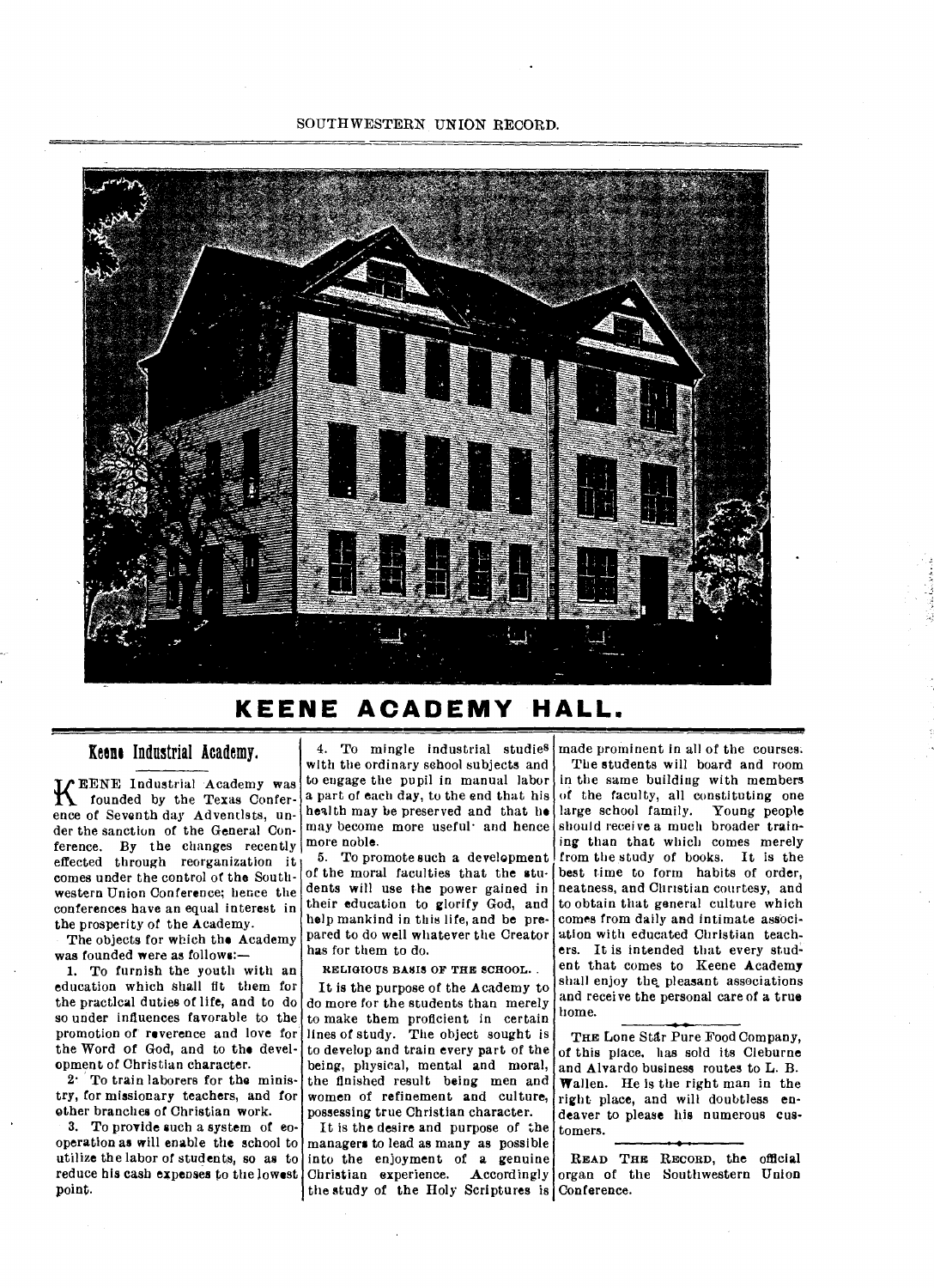

# **KEENE ACADEMY HALL.**

### Keens Industrial Academy,

K EENE Industrial Academy was<br>founded by the Texas Conferfounded by the Texas Conference of Seventh day Adventists, under the sanction of the General Conference. By the changes recently effected through reorganization it comes under the control of the Southwestern Union Conference; hence the conferences have an equal interest in the prosperity of the Academy.

The objects for which the Academy was founded were as follows:-

1. To furnish the youth with an education which shall fit them for the practical duties of life, and to do so under influences favorable to the promotion of reverence and love for the Word of God, and to the development of Christian character.

2• To train laborers for the ministry, for missionary teachers, and for other branches of Christian work.

3. To provide such a system of eooperation as will enable the school to utilize the labor of students, so as to reduce his cash expenses to the lowest point.

4. To mingle industrial studies with the ordinary school subjects and to engage the pupil in manual labor a part of each day, to the end that his health may be preserved and that he may become more useful• and hence more noble.

5. To promote such a development of the moral faculties that the students will use the power gained in their education to glorify God, and help mankind in this life, and be prepared to do well whatever the Creator has for them to do.

RELIGIOUS BASIS OF THE SCHOOL. .

It is the purpose of the Academy to do more for the students than merely to make them proficient in certain lines of study. The object sought is to develop and train every part of the being, physical, mental and moral, the finished result being men and women of refinement and culture, possessing true Christian character.

It is the desire and purpose of the managers to lead as many as possible into the enjoyment of a genuine Christian experience. Accordingly organ of the Southwestern Union the study of the Holy Scriptures is Conference.

made prominent in all of the courses. The students will board and room in the same building with members of the faculty, all constituting one large school family. Young people should receive a much broader training than that which comes merely from the study of books. It is the best time to form habits of order, neatness, and Christian courtesy, and to obtain that general culture which comes from daily and intimate association with educated Christian teachers. It is intended that every student that comes to Keene Academy shall enjoy the, pleasant associations and receive the personal care of a true home.

THE Lone Star Pure Food Company, of this place, has sold its Cleburne and Alvardo business routes to L. B. Wallen. He is the right man in the right place, and will doubtless endeaver to please his numerous customers.

READ THE RECORD, the official